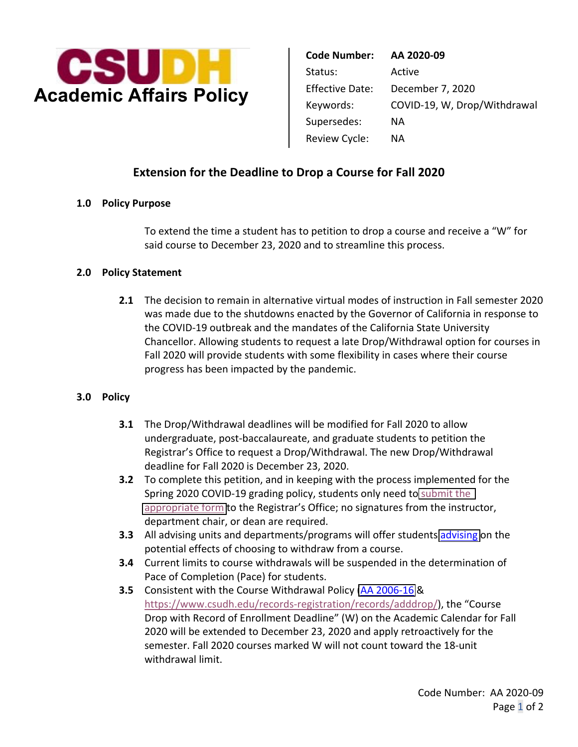

| <b>Code Number:</b>    | AA 2020-09                   |
|------------------------|------------------------------|
| Status:                | Active                       |
| <b>Effective Date:</b> | December 7, 2020             |
| Keywords:              | COVID-19, W, Drop/Withdrawal |
| Supersedes:            | ΝA                           |
| Review Cycle:          | ΝA                           |

# **Extension for the Deadline to Drop a Course for Fall 2020**

## **1.0 Policy Purpose**

To extend the time a student has to petition to drop a course and receive a "W" for said course to December 23, 2020 and to streamline this process.

#### **2.0 Policy Statement**

**2.1** The decision to remain in alternative virtual modes of instruction in Fall semester 2020 was made due to the shutdowns enacted by the Governor of California in response to the COVID-19 outbreak and the mandates of the California State University Chancellor. Allowing students to request a late Drop/Withdrawal option for courses in Fall 2020 will provide students with some flexibility in cases where their course progress has been impacted by the pandemic.

## **3.0 Policy**

- Registrar's Office to request a Drop/Withdrawal. The new Drop/Withdrawal **3.1** The Drop/Withdrawal deadlines will be modified for Fall 2020 to allow undergraduate, post-baccalaureate, and graduate students to petition the deadline for Fall 2020 is December 23, 2020.
- **3.2** To complete this petition, and in keeping with the process implemented for the Spring 2020 COVID-19 grading policy, students only need to [submit the](https://www.csudh.edu/Assets/csudh-sites/admissions-records/docs/Fall%202020%20Request%20for%20Late%20Withdrawal%20(003).pdf)  [appropriate form](https://www.csudh.edu/Assets/csudh-sites/admissions-records/docs/Fall%202020%20Request%20for%20Late%20Withdrawal%20(003).pdf) to the Registrar's Office; no signatures from the instructor, department chair, or dean are required.
- **3.3** All advising units and departments/programs will offer students [advising](https://www.csudh.edu/uac/covid-19-fall-2020-grading/) on the potential effects of choosing to withdraw from a course.
- **3.4** Current limits to course withdrawals will be suspended in the determination of Pace of Completion (Pace) for students.
- **3.5** Consistent with the Course Withdrawal Policy [\(AA 2006-16](http://www5.csudh.edu/aapm/pdf/aa-2006-16.pdf) & <https://www.csudh.edu/records-registration/records/adddrop>/), the "Course Drop with Record of Enrollment Deadline" (W) on the Academic Calendar for Fall 2020 will be extended to December 23, 2020 and apply retroactively for the semester. Fall 2020 courses marked W will not count toward the 18-unit withdrawal limit.